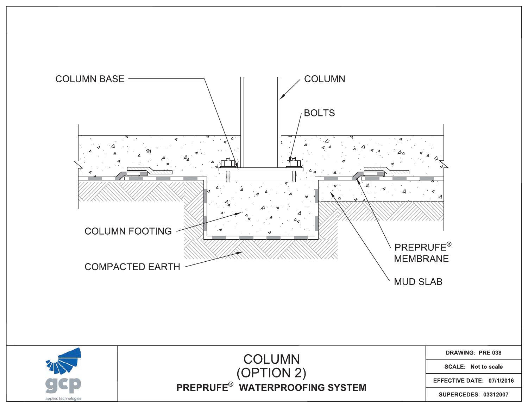